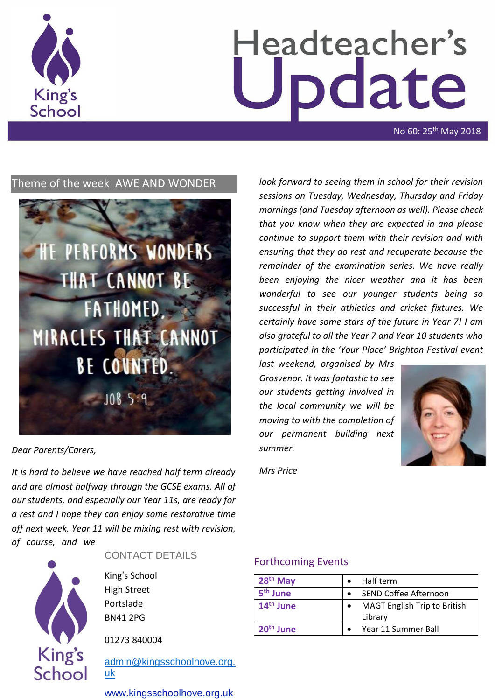

# Headteacher's odate

No 60: 25th May 2018

# Theme of the week AWE AND WONDER



#### *Dear Parents/Carers,*

*It is hard to believe we have reached half term already and are almost halfway through the GCSE exams. All of our students, and especially our Year 11s, are ready for a rest and I hope they can enjoy some restorative time off next week. Year 11 will be mixing rest with revision, of course, and we* 

**King's** School CONTACT DETAILS

King's School High Street Portslade BN41 2PG

01273 840004

[admin@kingsschoolhove.org.](mailto:admin@kingsschoolhove.org.uk) [uk](mailto:admin@kingsschoolhove.org.uk)

[www.kingsschoolhove.org.uk](http://www.kingsschoolhove.org.uk/)

*look forward to seeing them in school for their revision sessions on Tuesday, Wednesday, Thursday and Friday mornings (and Tuesday afternoon as well). Please check that you know when they are expected in and please continue to support them with their revision and with ensuring that they do rest and recuperate because the remainder of the examination series. We have really been enjoying the nicer weather and it has been wonderful to see our younger students being so successful in their athletics and cricket fixtures. We certainly have some stars of the future in Year 7! I am also grateful to all the Year 7 and Year 10 students who participated in the 'Your Place' Brighton Festival event* 

*last weekend, organised by Mrs Grosvenor. It was fantastic to see our students getting involved in the local community we will be moving to with the completion of our permanent building next summer.*



*Mrs Price*

#### Forthcoming Events

| $28th$ May            |                       | Half term                           |
|-----------------------|-----------------------|-------------------------------------|
| 5 <sup>th</sup> June  | SEND Coffee Afternoon |                                     |
| 14 <sup>th</sup> June | $\bullet$             | <b>MAGT English Trip to British</b> |
|                       |                       | Library                             |
| 20 <sup>th</sup> June |                       | Year 11 Summer Ball                 |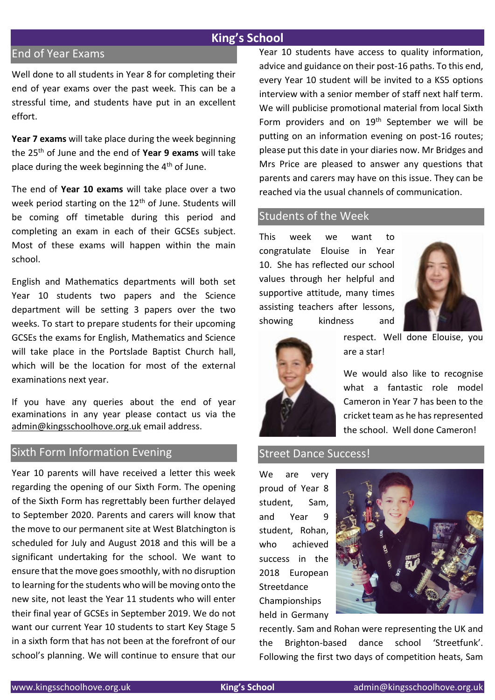# End of Year Exams

Well done to all students in Year 8 for completing their end of year exams over the past week. This can be a stressful time, and students have put in an excellent effort.

**Year 7 exams** will take place during the week beginning the 25th of June and the end of **Year 9 exams** will take place during the week beginning the  $4<sup>th</sup>$  of June.

The end of **Year 10 exams** will take place over a two week period starting on the 12<sup>th</sup> of June. Students will be coming off timetable during this period and completing an exam in each of their GCSEs subject. Most of these exams will happen within the main school.

English and Mathematics departments will both set Year 10 students two papers and the Science department will be setting 3 papers over the two weeks. To start to prepare students for their upcoming GCSEs the exams for English, Mathematics and Science will take place in the Portslade Baptist Church hall, which will be the location for most of the external examinations next year.

If you have any queries about the end of year examinations in any year please contact us via the [admin@kingsschoolhove.org.uk](mailto:admin@kingsschoolhove.org.uk) email address.

# Sixth Form Information Evening

Year 10 parents will have received a letter this week regarding the opening of our Sixth Form. The opening of the Sixth Form has regrettably been further delayed to September 2020. Parents and carers will know that the move to our permanent site at West Blatchington is scheduled for July and August 2018 and this will be a significant undertaking for the school. We want to ensure that the move goes smoothly, with no disruption to learning for the students who will be moving onto the new site, not least the Year 11 students who will enter their final year of GCSEs in September 2019. We do not want our current Year 10 students to start Key Stage 5 in a sixth form that has not been at the forefront of our school's planning. We will continue to ensure that our

Year 10 students have access to quality information, advice and guidance on their post-16 paths. To this end, every Year 10 student will be invited to a KS5 options interview with a senior member of staff next half term. We will publicise promotional material from local Sixth Form providers and on 19<sup>th</sup> September we will be putting on an information evening on post-16 routes; please put this date in your diaries now. Mr Bridges and Mrs Price are pleased to answer any questions that parents and carers may have on this issue. They can be reached via the usual channels of communication.

#### Students of the Week

This week we want to congratulate Elouise in Year 10. She has reflected our school values through her helpful and supportive attitude, many times assisting teachers after lessons, showing kindness and





respect. Well done Elouise, you are a star!

We would also like to recognise what a fantastic role model Cameron in Year 7 has been to the cricket team as he has represented the school. Well done Cameron!

#### Street Dance Success!

We are very proud of Year 8 student, Sam, and Year 9 student, Rohan, who achieved success in the 2018 European **Streetdance** Championships held in Germany



recently. Sam and Rohan were representing the UK and the Brighton-based dance school 'Streetfunk'. Following the first two days of competition heats, Sam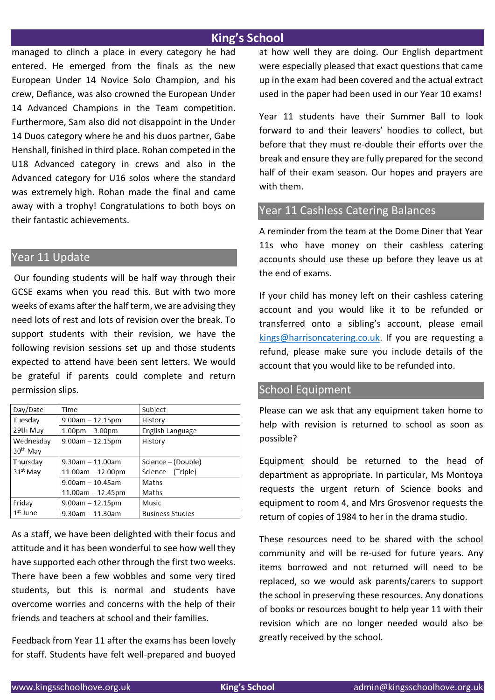managed to clinch a place in every category he had entered. He emerged from the finals as the new European Under 14 Novice Solo Champion, and his crew, Defiance, was also crowned the European Under 14 Advanced Champions in the Team competition. Furthermore, Sam also did not disappoint in the Under 14 Duos category where he and his duos partner, Gabe Henshall, finished in third place. Rohan competed in the U18 Advanced category in crews and also in the Advanced category for U16 solos where the standard was extremely high. Rohan made the final and came away with a trophy! Congratulations to both boys on their fantastic achievements.

# Year 11 Update

Our founding students will be half way through their GCSE exams when you read this. But with two more weeks of exams after the half term, we are advising they need lots of rest and lots of revision over the break. To support students with their revision, we have the following revision sessions set up and those students expected to attend have been sent letters. We would be grateful if parents could complete and return permission slips.

| Day/Date             | Time                    | Subject                 |
|----------------------|-------------------------|-------------------------|
| Tuesday              | $9.00$ am $- 12.15$ pm  | History                 |
| 29th May             | $1.00pm - 3.00pm$       | English Language        |
| Wednesday            | $9.00$ am $- 12.15$ pm  | History                 |
| 30 <sup>th</sup> May |                         |                         |
| Thursday             | $9.30$ am $-11.00$ am   | Science – (Double)      |
| 31 <sup>st</sup> May | $11.00am - 12.00pm$     | Science – (Triple)      |
|                      | $9.00$ am - 10.45am     | Maths                   |
|                      | $11.00$ am $- 12.45$ pm | Maths                   |
| Friday               | $9.00$ am $- 12.15$ pm  | Music                   |
| $1st$ June           | $9.30$ am - 11.30am     | <b>Business Studies</b> |

As a staff, we have been delighted with their focus and attitude and it has been wonderful to see how well they have supported each other through the first two weeks. There have been a few wobbles and some very tired students, but this is normal and students have overcome worries and concerns with the help of their friends and teachers at school and their families.

Feedback from Year 11 after the exams has been lovely for staff. Students have felt well-prepared and buoyed at how well they are doing. Our English department were especially pleased that exact questions that came up in the exam had been covered and the actual extract used in the paper had been used in our Year 10 exams!

Year 11 students have their Summer Ball to look forward to and their leavers' hoodies to collect, but before that they must re-double their efforts over the break and ensure they are fully prepared for the second half of their exam season. Our hopes and prayers are with them.

# Year 11 Cashless Catering Balances

A reminder from the team at the Dome Diner that Year 11s who have money on their cashless catering accounts should use these up before they leave us at the end of exams.

If your child has money left on their cashless catering account and you would like it to be refunded or transferred onto a sibling's account, please email [kings@harrisoncatering.co.uk.](mailto:kings@harrisoncatering.co.uk) If you are requesting a refund, please make sure you include details of the account that you would like to be refunded into.

# School Equipment

Please can we ask that any equipment taken home to help with revision is returned to school as soon as possible?

Equipment should be returned to the head of department as appropriate. In particular, Ms Montoya requests the urgent return of Science books and equipment to room 4, and Mrs Grosvenor requests the return of copies of 1984 to her in the drama studio.

These resources need to be shared with the school community and will be re-used for future years. Any items borrowed and not returned will need to be replaced, so we would ask parents/carers to support the school in preserving these resources. Any donations of books or resources bought to help year 11 with their revision which are no longer needed would also be greatly received by the school.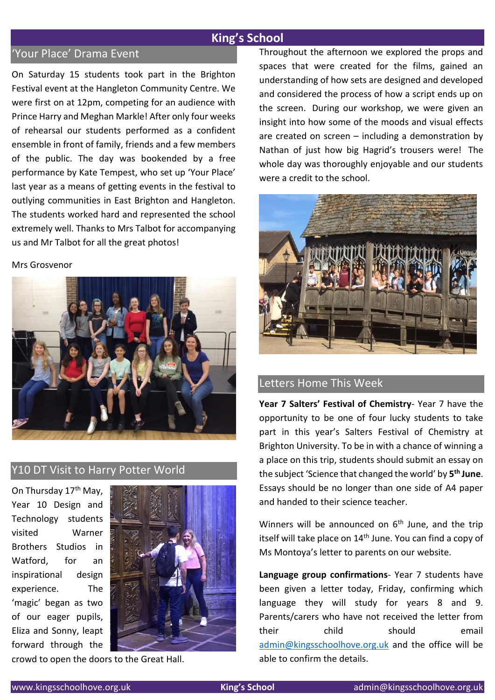# 'Your Place' Drama Event

On Saturday 15 students took part in the Brighton Festival event at the Hangleton Community Centre. We were first on at 12pm, competing for an audience with Prince Harry and Meghan Markle! After only four weeks of rehearsal our students performed as a confident ensemble in front of family, friends and a few members of the public. The day was bookended by a free performance by Kate Tempest, who set up 'Your Place' last year as a means of getting events in the festival to outlying communities in East Brighton and Hangleton. The students worked hard and represented the school extremely well. Thanks to Mrs Talbot for accompanying us and Mr Talbot for all the great photos!

#### Mrs Grosvenor



# Y10 DT Visit to Harry Potter World

On Thursday 17th May, Year 10 Design and Technology students visited Warner Brothers Studios in Watford, for an inspirational design experience. The 'magic' began as two of our eager pupils, Eliza and Sonny, leapt forward through the



crowd to open the doors to the Great Hall.

Throughout the afternoon we explored the props and spaces that were created for the films, gained an understanding of how sets are designed and developed and considered the process of how a script ends up on the screen. During our workshop, we were given an insight into how some of the moods and visual effects are created on screen – including a demonstration by Nathan of just how big Hagrid's trousers were! The whole day was thoroughly enjoyable and our students were a credit to the school.



# Letters Home This Week

**Year 7 Salters' Festival of Chemistry**- Year 7 have the opportunity to be one of four lucky students to take part in this year's Salters Festival of Chemistry at Brighton University. To be in with a chance of winning a a place on this trip, students should submit an essay on the subject 'Science that changed the world' by **5 th June**. Essays should be no longer than one side of A4 paper and handed to their science teacher.

Winners will be announced on  $6<sup>th</sup>$  June, and the trip itself will take place on 14<sup>th</sup> June. You can find a copy of Ms Montoya's letter to parents on our website.

**Language group confirmations**- Year 7 students have been given a letter today, Friday, confirming which language they will study for years 8 and 9. Parents/carers who have not received the letter from their child should email [admin@kingsschoolhove.org.uk](mailto:admin@kingsschoolhove.org.uk) and the office will be able to confirm the details.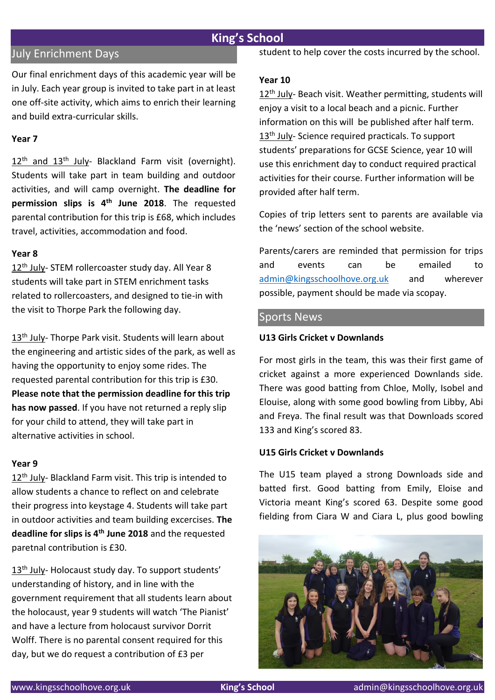# July Enrichment Days

Our final enrichment days of this academic year will be in July. Each year group is invited to take part in at least one off-site activity, which aims to enrich their learning and build extra-curricular skills.

#### **Year 7**

12<sup>th</sup> and 13<sup>th</sup> July- Blackland Farm visit (overnight). Students will take part in team building and outdoor activities, and will camp overnight. **The deadline for permission slips is 4th June 2018**. The requested parental contribution for this trip is £68, which includes travel, activities, accommodation and food.

#### **Year 8**

12<sup>th</sup> July- STEM rollercoaster study day. All Year 8 students will take part in STEM enrichment tasks related to rollercoasters, and designed to tie-in with the visit to Thorpe Park the following day.

13<sup>th</sup> July- Thorpe Park visit. Students will learn about the engineering and artistic sides of the park, as well as having the opportunity to enjoy some rides. The requested parental contribution for this trip is £30. **Please note that the permission deadline for this trip has now passed**. If you have not returned a reply slip for your child to attend, they will take part in alternative activities in school.

#### **Year 9**

12<sup>th</sup> July- Blackland Farm visit. This trip is intended to allow students a chance to reflect on and celebrate their progress into keystage 4. Students will take part in outdoor activities and team building excercises. **The deadline for slips is 4th June 2018** and the requested paretnal contribution is £30.

13<sup>th</sup> July- Holocaust study day. To support students' understanding of history, and in line with the government requirement that all students learn about the holocaust, year 9 students will watch 'The Pianist' and have a lecture from holocaust survivor Dorrit Wolff. There is no parental consent required for this day, but we do request a contribution of £3 per

student to help cover the costs incurred by the school.

#### **Year 10**

12<sup>th</sup> July- Beach visit. Weather permitting, students will enjoy a visit to a local beach and a picnic. Further information on this will be published after half term. 13<sup>th</sup> July- Science required practicals. To support students' preparations for GCSE Science, year 10 will use this enrichment day to conduct required practical activities for their course. Further information will be provided after half term.

Copies of trip letters sent to parents are available via the 'news' section of the school website.

Parents/carers are reminded that permission for trips and events can be emailed to [admin@kingsschoolhove.org.uk](mailto:admin@kingsschoolhove.org.uk) and wherever possible, payment should be made via scopay.

#### Sports News

#### **U13 Girls Cricket v Downlands**

For most girls in the team, this was their first game of cricket against a more experienced Downlands side. There was good batting from Chloe, Molly, Isobel and Elouise, along with some good bowling from Libby, Abi and Freya. The final result was that Downloads scored 133 and King's scored 83.

#### **U15 Girls Cricket v Downlands**

The U15 team played a strong Downloads side and batted first. Good batting from Emily, Eloise and Victoria meant King's scored 63. Despite some good fielding from Ciara W and Ciara L, plus good bowling

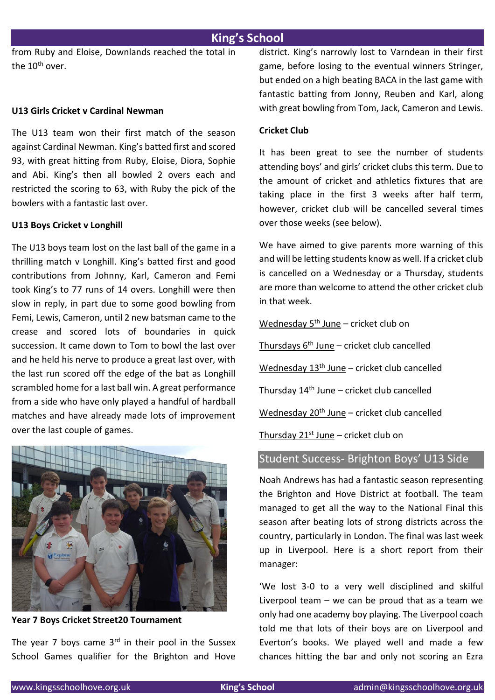from Ruby and Eloise, Downlands reached the total in the 10<sup>th</sup> over.

#### **U13 Girls Cricket v Cardinal Newman**

The U13 team won their first match of the season against Cardinal Newman. King's batted first and scored 93, with great hitting from Ruby, Eloise, Diora, Sophie and Abi. King's then all bowled 2 overs each and restricted the scoring to 63, with Ruby the pick of the bowlers with a fantastic last over.

#### **U13 Boys Cricket v Longhill**

The U13 boys team lost on the last ball of the game in a thrilling match v Longhill. King's batted first and good contributions from Johnny, Karl, Cameron and Femi took King's to 77 runs of 14 overs. Longhill were then slow in reply, in part due to some good bowling from Femi, Lewis, Cameron, until 2 new batsman came to the crease and scored lots of boundaries in quick succession. It came down to Tom to bowl the last over and he held his nerve to produce a great last over, with the last run scored off the edge of the bat as Longhill scrambled home for a last ball win. A great performance from a side who have only played a handful of hardball matches and have already made lots of improvement over the last couple of games.



**Year 7 Boys Cricket Street20 Tournament**

The year 7 boys came  $3<sup>rd</sup>$  in their pool in the Sussex School Games qualifier for the Brighton and Hove district. King's narrowly lost to Varndean in their first game, before losing to the eventual winners Stringer, but ended on a high beating BACA in the last game with fantastic batting from Jonny, Reuben and Karl, along with great bowling from Tom, Jack, Cameron and Lewis.

#### **Cricket Club**

It has been great to see the number of students attending boys' and girls' cricket clubs this term. Due to the amount of cricket and athletics fixtures that are taking place in the first 3 weeks after half term, however, cricket club will be cancelled several times over those weeks (see below).

We have aimed to give parents more warning of this and will be letting students know as well. If a cricket club is cancelled on a Wednesday or a Thursday, students are more than welcome to attend the other cricket club in that week.

Wednesday  $5<sup>th</sup>$  June – cricket club on

Thursdays  $6<sup>th</sup>$  June – cricket club cancelled

Wednesday  $13<sup>th</sup>$  June – cricket club cancelled

Thursday  $14<sup>th</sup>$  June – cricket club cancelled

Wednesday 20<sup>th</sup> June - cricket club cancelled

Thursday  $21^{st}$  June – cricket club on

#### Student Success- Brighton Boys' U13 Side

Noah Andrews has had a fantastic season representing the Brighton and Hove District at football. The team managed to get all the way to the National Final this season after beating lots of strong districts across the country, particularly in London. The final was last week up in Liverpool. Here is a short report from their manager:

'We lost 3-0 to a very well disciplined and skilful Liverpool team  $-$  we can be proud that as a team we only had one academy boy playing. The Liverpool coach told me that lots of their boys are on Liverpool and Everton's books. We played well and made a few chances hitting the bar and only not scoring an Ezra